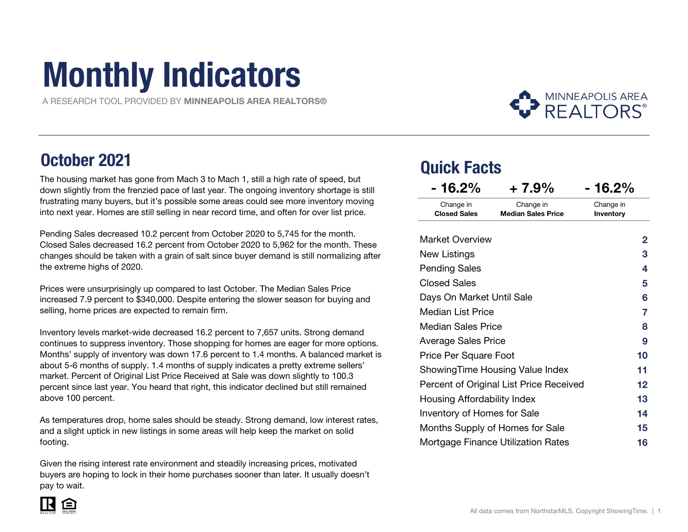# Monthly Indicators

A RESEARCH TOOL PROVIDED BY MINNEAPOLIS AREA REALTORS®

### October 2021

 The housing market has gone from Mach 3 to Mach 1, still a high rate of speed, but down slightly from the frenzied pace of last year. The ongoing inventory shortage is still frustrating many buyers, but it's possible some areas could see more inventory moving into next year. Homes are still selling in near record time, and often for over list price.

Pending Sales decreased 10.2 percent from October 2020 to 5,745 for the month. Closed Sales decreased 16.2 percent from October 2020 to 5,962 for the month. These changes should be taken with a grain of salt since buyer demand is still normalizing after the extreme highs of 2020.

Prices were unsurprisingly up compared to last October. The Median Sales Price increased 7.9 percent to \$340,000. Despite entering the slower season for buying and selling, home prices are expected to remain firm.

Inventory levels market-wide decreased 16.2 percent to 7,657 units. Strong demand continues to suppress inventory. Those shopping for homes are eager for more options.Months' supply of inventory was down 17.6 percent to 1.4 months. A balanced market is about 5-6 months of supply. 1.4 months of supply indicates a pretty extreme sellers' market. Percent of Original List Price Received at Sale was down slightly to 100. 3 percent since last year. You heard that right, this indicator declined but still remained above 100 percent.

As temperatures drop, home sales should be steady. Strong demand, low interest rates, and a slight uptick in new listings in some areas will help keep the market on solid<br>' footing.

Given the rising interest rate environment and steadily increasing prices, motivated buyers are hoping to lock in their home purchases sooner than later. It usually doesn't pay to wait.

### Quick Facts

| $-16.2%$                                | $+7.9%$                                   | $-16.2%$               |
|-----------------------------------------|-------------------------------------------|------------------------|
| Change in<br><b>Closed Sales</b>        | Change in<br><b>Median Sales Price</b>    | Change in<br>Inventory |
| <b>Market Overview</b>                  |                                           | 2                      |
| New Listings                            |                                           | 3                      |
| <b>Pending Sales</b>                    |                                           | 4                      |
| <b>Closed Sales</b>                     |                                           | 5                      |
| Days On Market Until Sale               |                                           | 6                      |
| Median List Price                       | 7                                         |                        |
| Median Sales Price                      |                                           | 8                      |
| <b>Average Sales Price</b>              |                                           | 9                      |
| Price Per Square Foot                   |                                           | 10                     |
| ShowingTime Housing Value Index         | 11                                        |                        |
| Percent of Original List Price Received | $12 \,$                                   |                        |
| Housing Affordability Index             |                                           | 13                     |
| <b>Inventory of Homes for Sale</b>      |                                           | 14                     |
|                                         | Months Supply of Homes for Sale           | 15                     |
|                                         | <b>Mortgage Finance Utilization Rates</b> | 16                     |

**MINNEAPOLIS AREA REALTORS®** 

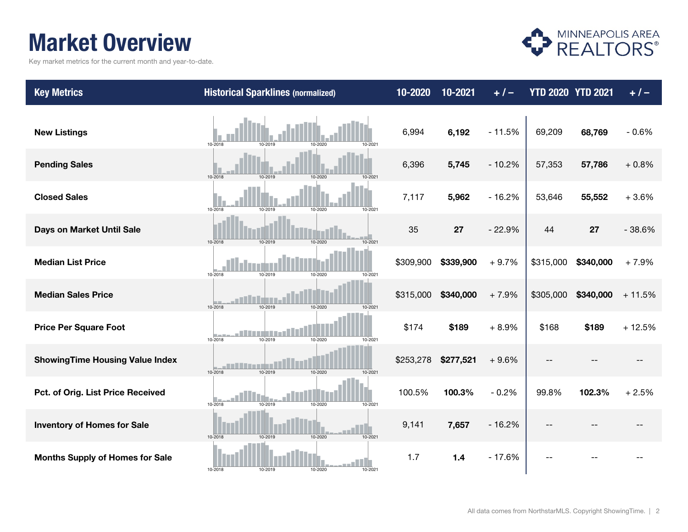### Market Overview

Key market metrics for the current month and year-to-date.



| <b>Key Metrics</b>                     | <b>Historical Sparklines (normalized)</b>              | 10-2020   | 10-2021   | $+1-$    | <b>YTD 2020 YTD 2021</b> |           | $+ 1 -$  |
|----------------------------------------|--------------------------------------------------------|-----------|-----------|----------|--------------------------|-----------|----------|
| <b>New Listings</b>                    | 10-2018<br>10-2019<br>10-2020<br>10-2021               | 6,994     | 6,192     | $-11.5%$ | 69,209                   | 68,769    | $-0.6%$  |
| <b>Pending Sales</b>                   | 10-2018<br>10-2019<br>10-2020<br>10-2021               | 6,396     | 5,745     | $-10.2%$ | 57,353                   | 57,786    | $+0.8%$  |
| <b>Closed Sales</b>                    | 10-2018<br>10-2019<br>10-2020<br>10-2021               | 7,117     | 5,962     | $-16.2%$ | 53,646                   | 55,552    | $+3.6%$  |
| Days on Market Until Sale              | 10-2018<br>10-2019<br>10-2020<br>10-2021               | 35        | 27        | $-22.9%$ | 44                       | 27        | $-38.6%$ |
| <b>Median List Price</b>               | 10-2018<br>10-2019<br>10-2020<br>10-2021               | \$309,900 | \$339,900 | $+9.7%$  | \$315,000                | \$340,000 | $+7.9%$  |
| <b>Median Sales Price</b>              | 10-2020<br>10-2021<br>10-2018<br>10-2019               | \$315,000 | \$340,000 | $+7.9%$  | \$305,000                | \$340,000 | $+11.5%$ |
| <b>Price Per Square Foot</b>           | an Britain<br>10-2019<br>10-2020<br>10-2018<br>10-2021 | \$174     | \$189     | $+8.9%$  | \$168                    | \$189     | $+12.5%$ |
| <b>ShowingTime Housing Value Index</b> | 10-2018<br>10-2019<br>10-2020<br>10-2021               | \$253,278 | \$277,521 | $+9.6%$  |                          |           |          |
| Pct. of Orig. List Price Received      | 10-2018<br>10-2019<br>10-2020<br>10-2021               | 100.5%    | 100.3%    | $-0.2%$  | 99.8%                    | 102.3%    | $+2.5%$  |
| <b>Inventory of Homes for Sale</b>     | 10-2020<br>10-2018<br>10-2019<br>10-2021               | 9,141     | 7,657     | $-16.2%$ |                          |           |          |
| <b>Months Supply of Homes for Sale</b> | 10-2018<br>10-2019<br>10-2020<br>10-2021               | 1.7       | $1.4$     | $-17.6%$ |                          |           |          |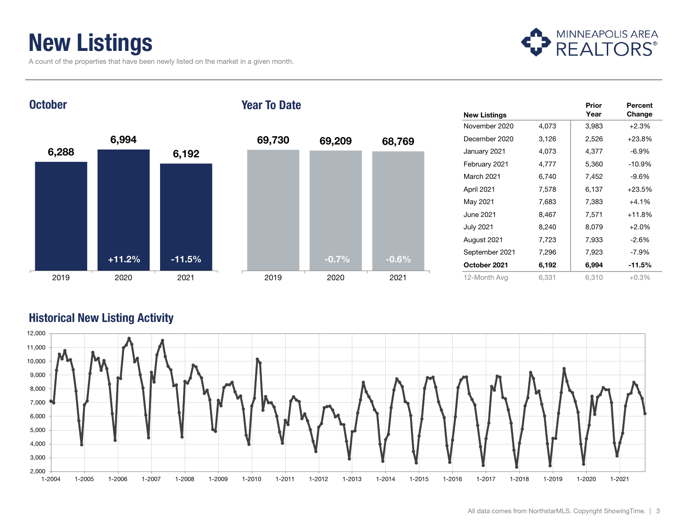### New Listings

A count of the properties that have been newly listed on the market in a given month.



**October** 

#### Year To Date



|                     |       | Prior | Percent  |
|---------------------|-------|-------|----------|
| <b>New Listings</b> |       | Year  | Change   |
| November 2020       | 4,073 | 3,983 | $+2.3%$  |
| December 2020       | 3,126 | 2,526 | $+23.8%$ |
| January 2021        | 4,073 | 4,377 | $-6.9%$  |
| February 2021       | 4,777 | 5,360 | $-10.9%$ |
| March 2021          | 6,740 | 7,452 | $-9.6%$  |
| April 2021          | 7,578 | 6,137 | $+23.5%$ |
| May 2021            | 7,683 | 7,383 | $+4.1%$  |
| June 2021           | 8,467 | 7,571 | $+11.8%$ |
| <b>July 2021</b>    | 8,240 | 8,079 | $+2.0%$  |
| August 2021         | 7,723 | 7,933 | $-2.6%$  |
| September 2021      | 7,296 | 7,923 | $-7.9%$  |
| October 2021        | 6,192 | 6,994 | $-11.5%$ |
| 12-Month Avg        | 6,331 | 6,310 | $+0.3%$  |

#### Historical New Listing Activity

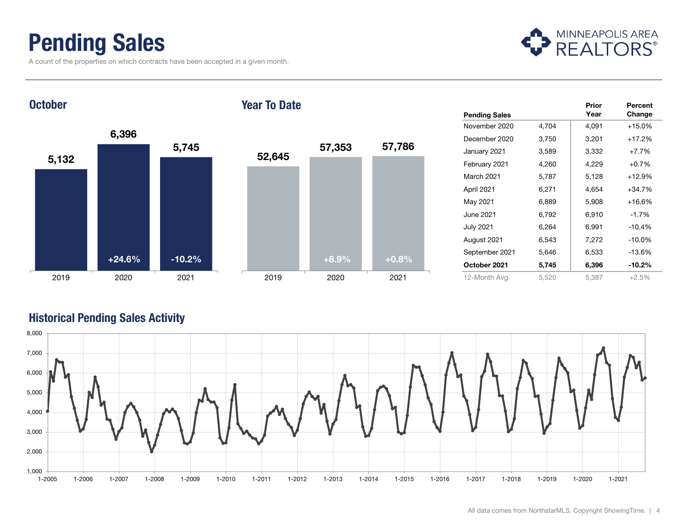### Pending Sales

A count of the properties on which contracts have been accepted in a given month.



**October** 

#### Year To Date



|                      |       | Prior | Percent   |
|----------------------|-------|-------|-----------|
| <b>Pending Sales</b> |       | Year  | Change    |
| November 2020        | 4,704 | 4,091 | $+15.0%$  |
| December 2020        | 3,750 | 3,201 | $+17.2%$  |
| January 2021         | 3,589 | 3,332 | $+7.7%$   |
| February 2021        | 4,260 | 4,229 | $+0.7%$   |
| March 2021           | 5,787 | 5,128 | $+12.9%$  |
| April 2021           | 6,271 | 4,654 | $+34.7%$  |
| May 2021             | 6,889 | 5,908 | $+16.6%$  |
| June 2021            | 6,792 | 6,910 | $-1.7%$   |
| July 2021            | 6,264 | 6,991 | $-10.4%$  |
| August 2021          | 6,543 | 7,272 | $-10.0%$  |
| September 2021       | 5,646 | 6,533 | $-13.6%$  |
| October 2021         | 5,745 | 6,396 | $-10.2\%$ |
| 12-Month Avg         | 5,520 | 5,387 | $+2.5%$   |

#### Historical Pending Sales Activity

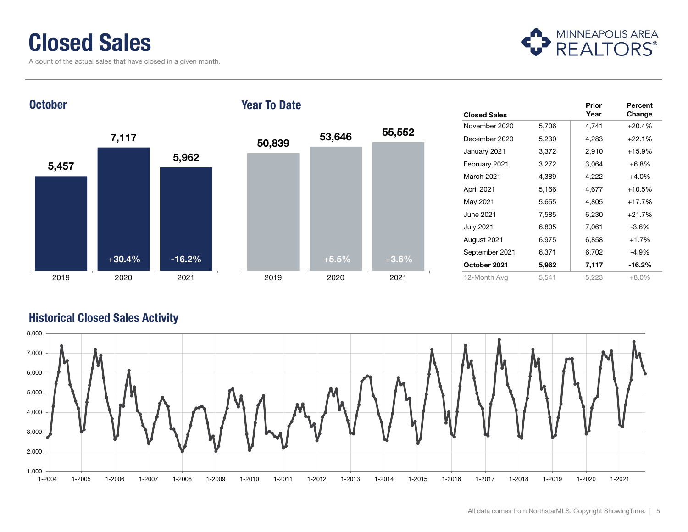### Closed Sales

A count of the actual sales that have closed in a given month.



**October** 

#### Year To Date



|                     |       | Prior | Percent  |
|---------------------|-------|-------|----------|
| <b>Closed Sales</b> |       | Year  | Change   |
| November 2020       | 5,706 | 4,741 | $+20.4%$ |
| December 2020       | 5,230 | 4,283 | $+22.1%$ |
| January 2021        | 3,372 | 2,910 | $+15.9%$ |
| February 2021       | 3,272 | 3,064 | $+6.8%$  |
| March 2021          | 4,389 | 4,222 | $+4.0%$  |
| April 2021          | 5,166 | 4,677 | $+10.5%$ |
| May 2021            | 5,655 | 4,805 | $+17.7%$ |
| June 2021           | 7,585 | 6,230 | $+21.7%$ |
| <b>July 2021</b>    | 6,805 | 7,061 | $-3.6\%$ |
| August 2021         | 6,975 | 6,858 | $+1.7%$  |
| September 2021      | 6,371 | 6,702 | -4.9%    |
| October 2021        | 5,962 | 7,117 | $-16.2%$ |
| 12-Month Avg        | 5,541 | 5,223 | $+8.0\%$ |

#### Historical Closed Sales Activity

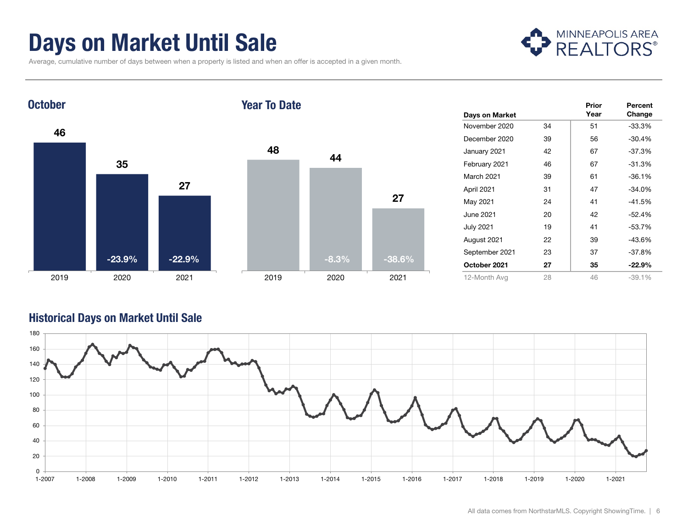### Days on Market Until Sale

Average, cumulative number of days between when a property is listed and when an offer is accepted in a given month.





| Days on Market   |    | Prior<br>Year | Percent<br>Change |
|------------------|----|---------------|-------------------|
| November 2020    | 34 | 51            | $-33.3%$          |
| December 2020    | 39 | 56            | $-30.4%$          |
| January 2021     | 42 | 67            | -37.3%            |
| February 2021    | 46 | 67            | -31.3%            |
| March 2021       | 39 | 61            | $-36.1%$          |
| April 2021       | 31 | 47            | $-34.0%$          |
| May 2021         | 24 | 41            | $-41.5%$          |
| June 2021        | 20 | 42            | $-52.4%$          |
| <b>July 2021</b> | 19 | 41            | -53.7%            |
| August 2021      | 22 | 39            | -43.6%            |
| September 2021   | 23 | 37            | -37.8%            |
| October 2021     | 27 | 35            | -22.9%            |
| 12-Month Avg     | 28 | 46            | $-39.1%$          |

#### Historical Days on Market Until Sale

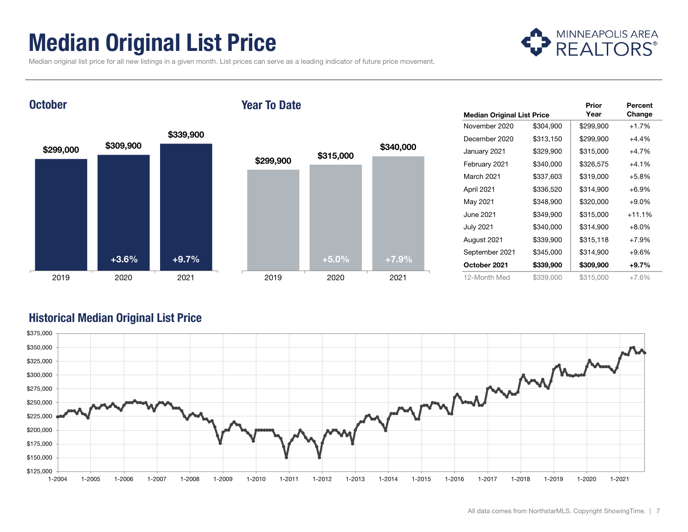### Median Original List Price



Median original list price for all new listings in a given month. List prices can serve as a leading indicator of future price movement.

#### **October**

#### Year To Date



|                                   |           | Prior     | Percent  |
|-----------------------------------|-----------|-----------|----------|
| <b>Median Original List Price</b> |           | Year      | Change   |
| November 2020                     | \$304,900 | \$299,900 | $+1.7%$  |
| December 2020                     | \$313,150 | \$299,900 | $+4.4%$  |
| January 2021                      | \$329,900 | \$315,000 | $+4.7%$  |
| February 2021                     | \$340,000 | \$326,575 | $+4.1%$  |
| March 2021                        | \$337,603 | \$319,000 | $+5.8%$  |
| April 2021                        | \$336,520 | \$314,900 | $+6.9%$  |
| May 2021                          | \$348,900 | \$320,000 | $+9.0%$  |
| June 2021                         | \$349,900 | \$315,000 | $+11.1%$ |
| <b>July 2021</b>                  | \$340,000 | \$314,900 | $+8.0\%$ |
| August 2021                       | \$339,900 | \$315,118 | $+7.9%$  |
| September 2021                    | \$345,000 | \$314,900 | $+9.6%$  |
| October 2021                      | \$339,900 | \$309,900 | $+9.7%$  |
| 12-Month Med                      | \$339,000 | \$315,000 | $+7.6%$  |

#### Historical Median Original List Price

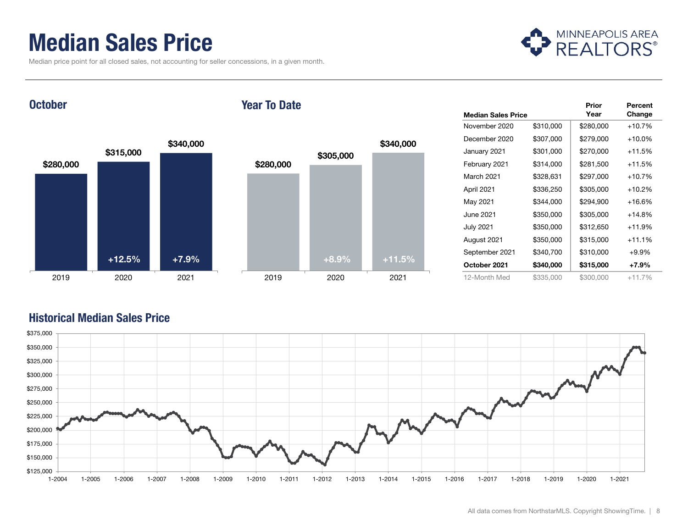### Median Sales Price

Median price point for all closed sales, not accounting for seller concessions, in a given month.



**October** 

#### Year To Date



|                           |           | Prior     | Percent   |
|---------------------------|-----------|-----------|-----------|
| <b>Median Sales Price</b> |           | Year      | Change    |
| November 2020             | \$310,000 | \$280,000 | $+10.7%$  |
| December 2020             | \$307,000 | \$279,000 | $+10.0\%$ |
| January 2021              | \$301,000 | \$270,000 | $+11.5%$  |
| February 2021             | \$314,000 | \$281,500 | $+11.5%$  |
| March 2021                | \$328,631 | \$297,000 | $+10.7%$  |
| April 2021                | \$336,250 | \$305,000 | $+10.2%$  |
| May 2021                  | \$344,000 | \$294,900 | $+16.6%$  |
| June 2021                 | \$350,000 | \$305,000 | $+14.8%$  |
| <b>July 2021</b>          | \$350,000 | \$312,650 | $+11.9%$  |
| August 2021               | \$350,000 | \$315,000 | $+11.1%$  |
| September 2021            | \$340,700 | \$310,000 | $+9.9%$   |
| October 2021              | \$340,000 | \$315,000 | +7.9%     |
| 12-Month Med              | \$335,000 | \$300,000 | $+11.7%$  |

#### Historical Median Sales Price

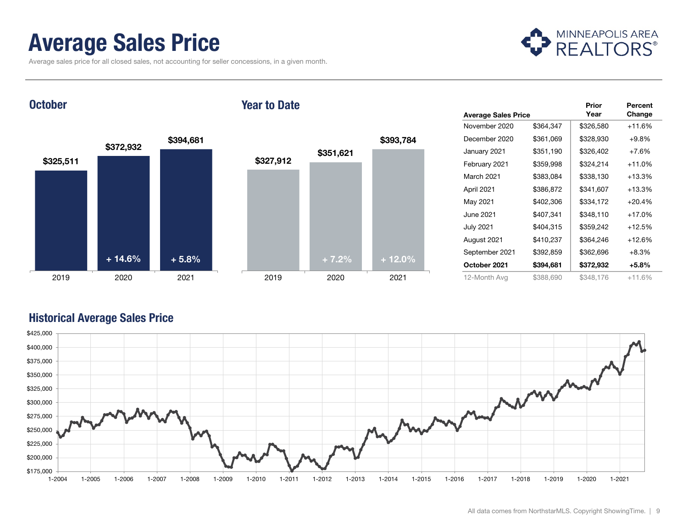### Average Sales Price

Average sales price for all closed sales, not accounting for seller concessions, in a given month.



**October** 

#### Year to Date



|                            |           | Prior     | Percent  |
|----------------------------|-----------|-----------|----------|
| <b>Average Sales Price</b> |           | Year      | Change   |
| November 2020              | \$364,347 | \$326,580 | $+11.6%$ |
| December 2020              | \$361,069 | \$328,930 | $+9.8%$  |
| January 2021               | \$351,190 | \$326,402 | $+7.6%$  |
| February 2021              | \$359,998 | \$324,214 | $+11.0%$ |
| March 2021                 | \$383,084 | \$338,130 | $+13.3%$ |
| April 2021                 | \$386,872 | \$341,607 | $+13.3%$ |
| May 2021                   | \$402,306 | \$334,172 | $+20.4%$ |
| June 2021                  | \$407,341 | \$348,110 | $+17.0%$ |
| <b>July 2021</b>           | \$404,315 | \$359,242 | $+12.5%$ |
| August 2021                | \$410,237 | \$364,246 | $+12.6%$ |
| September 2021             | \$392,859 | \$362,696 | $+8.3%$  |
| October 2021               | \$394,681 | \$372,932 | $+5.8\%$ |
| 12-Month Avg               | \$388,690 | \$348,176 | $+11.6%$ |

#### Historical Average Sales Price

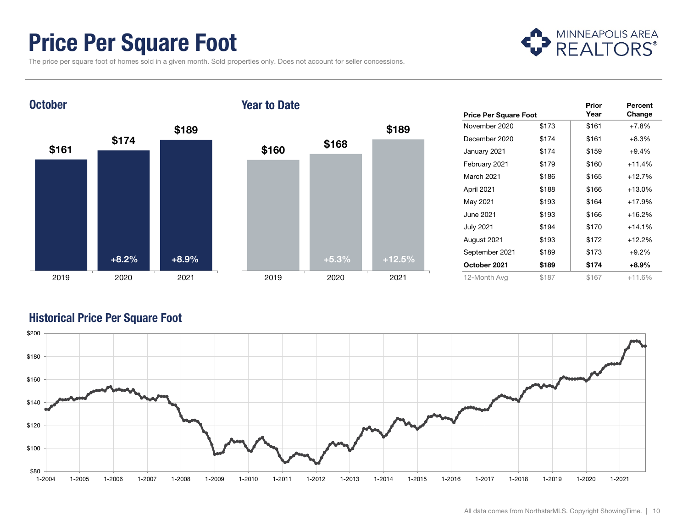### Price Per Square Foot

The price per square foot of homes sold in a given month. Sold properties only. Does not account for seller concessions.



#### $$161$   $$174$ \$189 2019 2020 2021 **October** \$160 \$168 \$189 2019 2020 2021 Year to Date+8.2%+8.9% +5.3% +12.5%

|                              |       | Prior | Percent  |
|------------------------------|-------|-------|----------|
| <b>Price Per Square Foot</b> |       | Year  | Change   |
| November 2020                | \$173 | \$161 | $+7.8%$  |
| December 2020                | \$174 | \$161 | $+8.3%$  |
| January 2021                 | \$174 | \$159 | $+9.4%$  |
| February 2021                | \$179 | \$160 | $+11.4%$ |
| March 2021                   | \$186 | \$165 | $+12.7%$ |
| April 2021                   | \$188 | \$166 | $+13.0%$ |
| May 2021                     | \$193 | \$164 | $+17.9%$ |
| June 2021                    | \$193 | \$166 | $+16.2%$ |
| <b>July 2021</b>             | \$194 | \$170 | $+14.1%$ |
| August 2021                  | \$193 | \$172 | $+12.2%$ |
| September 2021               | \$189 | \$173 | $+9.2%$  |
| October 2021                 | \$189 | \$174 | $+8.9%$  |
| 12-Month Avg                 | \$187 | \$167 | $+11.6%$ |

#### Historical Price Per Square Foot

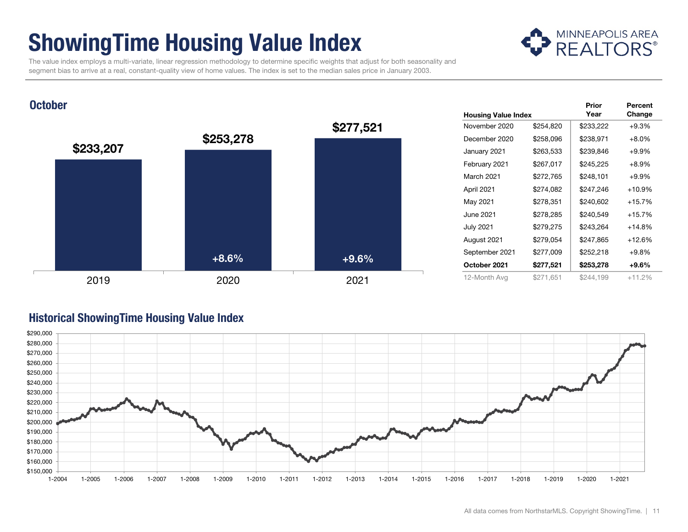### ShowingTime Housing Value Index



Prior

Percent

 The value index employs a multi-variate, linear regression methodology to determine specific weights that adjust for both seasonality and segment bias to arrive at a real, constant-quality view of home values. The index is set to the median sales price in January 2003.

#### **October**



#### Historical ShowingTime Housing Value Index

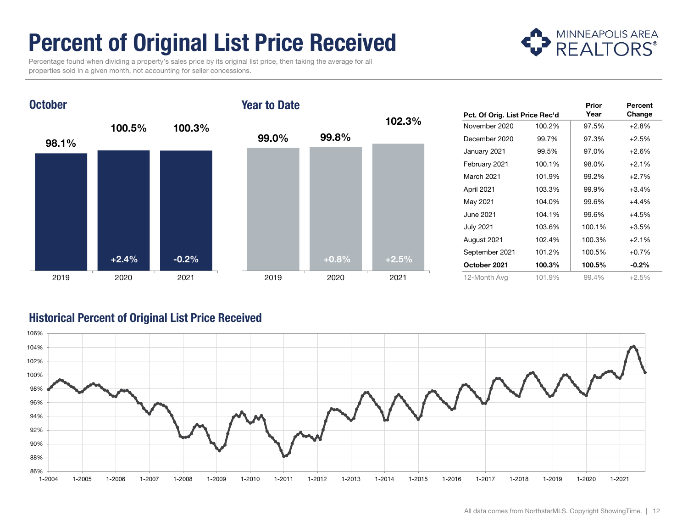# Percent of Original List Price Received

 Percentage found when dividing a property's sales price by its original list price, then taking the average for all properties sold in a given month, not accounting for seller concessions.





| Pct. Of Orig. List Price Rec'd |        | Prior<br>Year | Percent<br>Change |
|--------------------------------|--------|---------------|-------------------|
| November 2020                  | 100.2% | 97.5%         | $+2.8%$           |
| December 2020                  | 99.7%  | 97.3%         | $+2.5%$           |
| January 2021                   | 99.5%  | 97.0%         | $+2.6%$           |
| February 2021                  | 100.1% | 98.0%         | $+2.1%$           |
| March 2021                     | 101.9% | 99.2%         | $+2.7%$           |
| April 2021                     | 103.3% | 99.9%         | $+3.4%$           |
| May 2021                       | 104.0% | 99.6%         | $+4.4%$           |
| June 2021                      | 104.1% | 99.6%         | $+4.5%$           |
| <b>July 2021</b>               | 103.6% | 100.1%        | $+3.5%$           |
| August 2021                    | 102.4% | 100.3%        | $+2.1%$           |
| September 2021                 | 101.2% | 100.5%        | $+0.7%$           |
| October 2021                   | 100.3% | 100.5%        | $-0.2%$           |
| 12-Month Avg                   | 101.9% | 99.4%         | $+2.5%$           |

#### Historical Percent of Original List Price Received

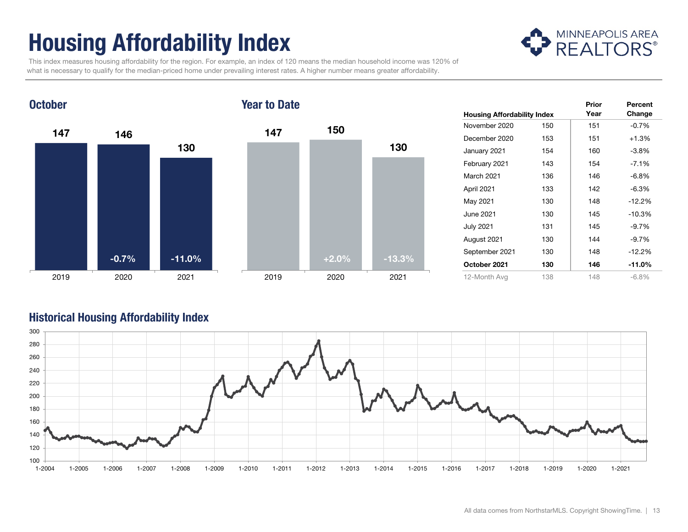# Housing Affordability Index



 This index measures housing affordability for the region. For example, an index of 120 means the median household income was 120% of what is necessary to qualify for the median-priced home under prevailing interest rates. A higher number means greater affordability.



| <b>Housing Affordability Index</b> |     | Prior<br>Year | Percent<br>Change |
|------------------------------------|-----|---------------|-------------------|
| November 2020                      | 150 | 151           | $-0.7%$           |
| December 2020                      | 153 | 151           | $+1.3%$           |
| January 2021                       | 154 | 160           | $-3.8\%$          |
| February 2021                      | 143 | 154           | $-7.1%$           |
| March 2021                         | 136 | 146           | $-6.8%$           |
| April 2021                         | 133 | 142           | $-6.3%$           |
| May 2021                           | 130 | 148           | $-12.2%$          |
| June 2021                          | 130 | 145           | $-10.3%$          |
| <b>July 2021</b>                   | 131 | 145           | $-9.7%$           |
| August 2021                        | 130 | 144           | $-9.7%$           |
| September 2021                     | 130 | 148           | $-12.2%$          |
| October 2021                       | 130 | 146           | -11.0%            |
| 12-Month Avg                       | 138 | 148           | $-6.8\%$          |

#### Historical Housing Affordability Index

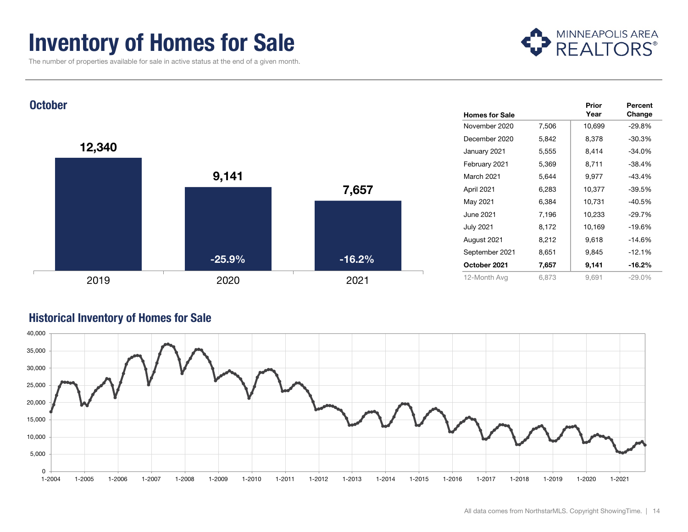### Inventory of Homes for Sale

The number of properties available for sale in active status at the end of a given month.





#### Historical Inventory of Homes for Sale

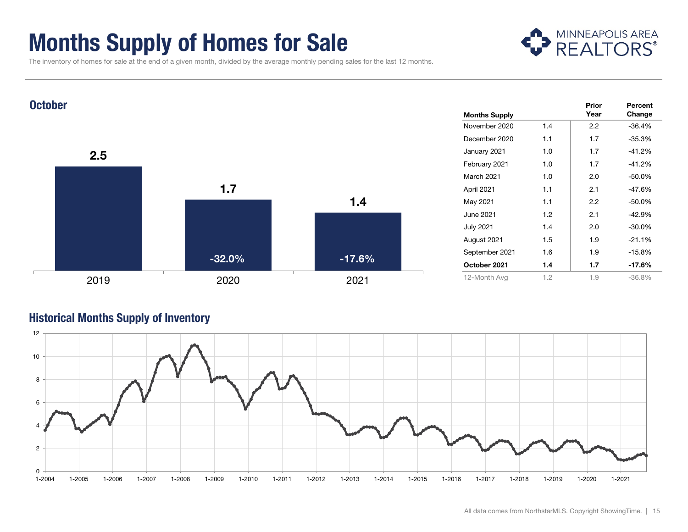### Months Supply of Homes for Sale



The inventory of homes for sale at the end of a given month, divided by the average monthly pending sales for the last 12 months.



#### Historical Months Supply of Inventory